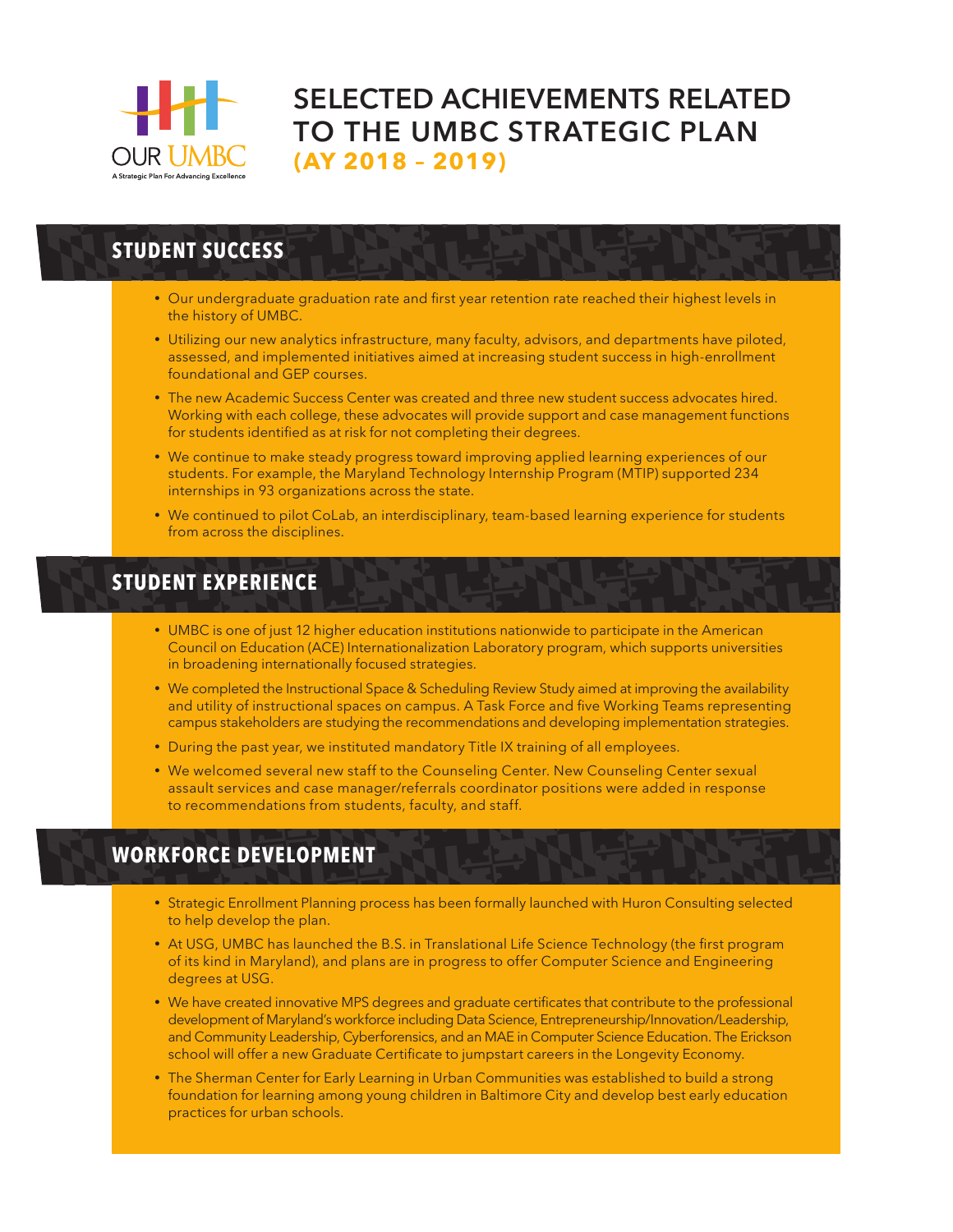

# **SELECTED ACHIEVEMENTS RELATED TO THE UMBC STRATEGIC PLAN (AY 2018 – 2019)**

## **STUDENT SUCCESS**

- Our undergraduate graduation rate and first year retention rate reached their highest levels in the history of UMBC.
- Utilizing our new analytics infrastructure, many faculty, advisors, and departments have piloted, assessed, and implemented initiatives aimed at increasing student success in high-enrollment foundational and GEP courses.
- The new Academic Success Center was created and three new student success advocates hired. Working with each college, these advocates will provide support and case management functions for students identified as at risk for not completing their degrees.
- We continue to make steady progress toward improving applied learning experiences of our students. For example, the Maryland Technology Internship Program (MTIP) supported 234 internships in 93 organizations across the state.
- We continued to pilot CoLab, an interdisciplinary, team-based learning experience for students from across the disciplines.

#### **STUDENT EXPERIENCE**

- UMBC is one of just 12 higher education institutions nationwide to participate in the American Council on Education (ACE) Internationalization Laboratory program, which supports universities in broadening internationally focused strategies.
- We completed the Instructional Space & Scheduling Review Study aimed at improving the availability and utility of instructional spaces on campus. A Task Force and five Working Teams representing campus stakeholders are studying the recommendations and developing implementation strategies.
- During the past year, we instituted mandatory Title IX training of all employees.
- We welcomed several new staff to the Counseling Center. New Counseling Center sexual assault services and case manager/referrals coordinator positions were added in response to recommendations from students, faculty, and staff.

#### **WORKFORCE DEVELOPMENT**

- y Strategic Enrollment Planning process has been formally launched with Huron Consulting selected to help develop the plan.
- At USG, UMBC has launched the B.S. in Translational Life Science Technology (the first program of its kind in Maryland), and plans are in progress to offer Computer Science and Engineering degrees at USG.
- We have created innovative MPS degrees and graduate certificates that contribute to the professional development of Maryland's workforce including Data Science, Entrepreneurship/Innovation/Leadership, and Community Leadership, Cyberforensics, and an MAE in Computer Science Education. The Erickson school will offer a new Graduate Certificate to jumpstart careers in the Longevity Economy.
- The Sherman Center for Early Learning in Urban Communities was established to build a strong foundation for learning among young children in Baltimore City and develop best early education practices for urban schools.